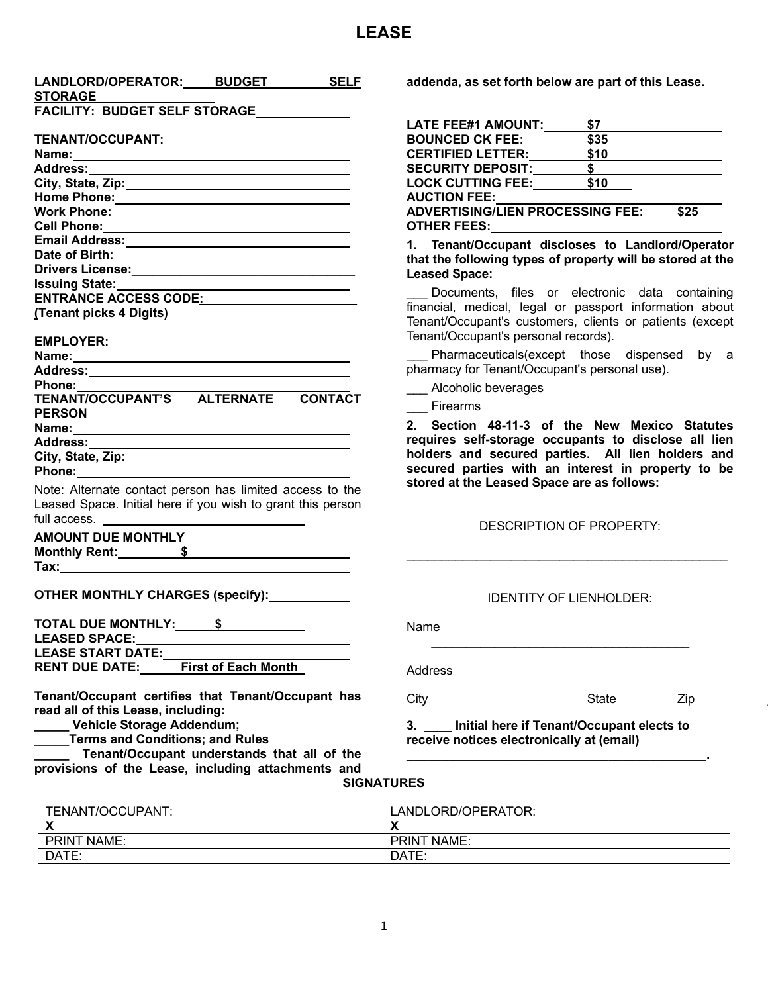## **LEASE**

| LANDLORD/OPERATOR: BUDGET<br><b>SELF</b>                                                                       | addenda, as set forth below are part of this Lease.                  |
|----------------------------------------------------------------------------------------------------------------|----------------------------------------------------------------------|
| <b>STORAGE</b>                                                                                                 |                                                                      |
| <b>FACILITY: BUDGET SELF STORAGE</b>                                                                           |                                                                      |
|                                                                                                                | LATE FEE#1 AMOUNT:<br><b>S7</b>                                      |
| <b>TENANT/OCCUPANT:</b>                                                                                        | \$35<br><b>BOUNCED CK FEE:</b>                                       |
|                                                                                                                | $\overline{\$10}$<br>CERTIFIED LETTER:                               |
|                                                                                                                | $\mathsf{\$}$                                                        |
| City, State, Zip: 2008. Example 2014                                                                           | <b>SECURITY DEPOSIT:_______<br/>LOCK CUTTING FEE:_______</b><br>\$10 |
|                                                                                                                | <b>AUCTION FEE:</b>                                                  |
|                                                                                                                | ADVERTISING/LIEN PROCESSING FEE: \$25                                |
|                                                                                                                |                                                                      |
|                                                                                                                | 1. Tenant/Occupant discloses to Landlord/Operator                    |
|                                                                                                                | that the following types of property will be stored at the           |
|                                                                                                                |                                                                      |
| <b>Issuing State:</b>                                                                                          | <b>Leased Space:</b>                                                 |
| ENTRANCE ACCESS CODE: NAMEL AND RESERVE TO A SERIES OF STREET AND RESERVE TO A SERIES OF STREET AND RESERVE TO | Documents, files or electronic data containing                       |
| (Tenant picks 4 Digits)                                                                                        | financial, medical, legal or passport information about              |
|                                                                                                                | Tenant/Occupant's customers, clients or patients (except             |
| <b>EMPLOYER:</b>                                                                                               | Tenant/Occupant's personal records).                                 |
|                                                                                                                | Pharmaceuticals(except those dispensed by a                          |
|                                                                                                                | pharmacy for Tenant/Occupant's personal use).                        |
| <b>Phone:</b>                                                                                                  | Alcoholic beverages                                                  |
| TENANT/OCCUPANT'S ALTERNATE<br><b>CONTACT</b>                                                                  |                                                                      |
| <b>PERSON</b>                                                                                                  | Firearms                                                             |
|                                                                                                                | 2. Section 48-11-3 of the New Mexico Statutes                        |
|                                                                                                                | requires self-storage occupants to disclose all lien                 |
|                                                                                                                | holders and secured parties. All lien holders and                    |
|                                                                                                                | secured parties with an interest in property to be                   |
| Note: Alternate contact person has limited access to the                                                       | stored at the Leased Space are as follows:                           |
| Leased Space. Initial here if you wish to grant this person                                                    |                                                                      |
| full access.                                                                                                   |                                                                      |
|                                                                                                                | DESCRIPTION OF PROPERTY:                                             |
| <b>AMOUNT DUE MONTHLY</b>                                                                                      |                                                                      |
| Monthly Rent: 5                                                                                                |                                                                      |
|                                                                                                                |                                                                      |
|                                                                                                                |                                                                      |
| OTHER MONTHLY CHARGES (specify):                                                                               | <b>IDENTITY OF LIENHOLDER:</b>                                       |
|                                                                                                                |                                                                      |
| TOTAL DUE MONTHLY:<br>S.                                                                                       | Name                                                                 |
| <b>LEASED SPACE:</b>                                                                                           |                                                                      |
| <b>LEASE START DATE:</b>                                                                                       |                                                                      |
| <b>First of Each Month</b><br><b>RENT DUE DATE:</b>                                                            | Address                                                              |
|                                                                                                                |                                                                      |
| Tenant/Occupant certifies that Tenant/Occupant has                                                             | City<br>Zip<br><b>State</b>                                          |
| read all of this Lease, including:                                                                             |                                                                      |
| Vehicle Storage Addendum;                                                                                      | Initial here if Tenant/Occupant elects to<br>3.                      |
| <b>Terms and Conditions; and Rules</b>                                                                         | receive notices electronically at (email)                            |
| Tenant/Occupant understands that all of the                                                                    |                                                                      |
| provisions of the Lease, including attachments and                                                             |                                                                      |
|                                                                                                                | <b>SIGNATURES</b>                                                    |
|                                                                                                                |                                                                      |
|                                                                                                                | LANDLORD/OPERATOR:                                                   |
| TENANT/OCCUPANT:                                                                                               |                                                                      |
| X                                                                                                              | X                                                                    |
| <b>PRINT NAME:</b><br>DATE:                                                                                    | PRINT NAME:<br>DATE:                                                 |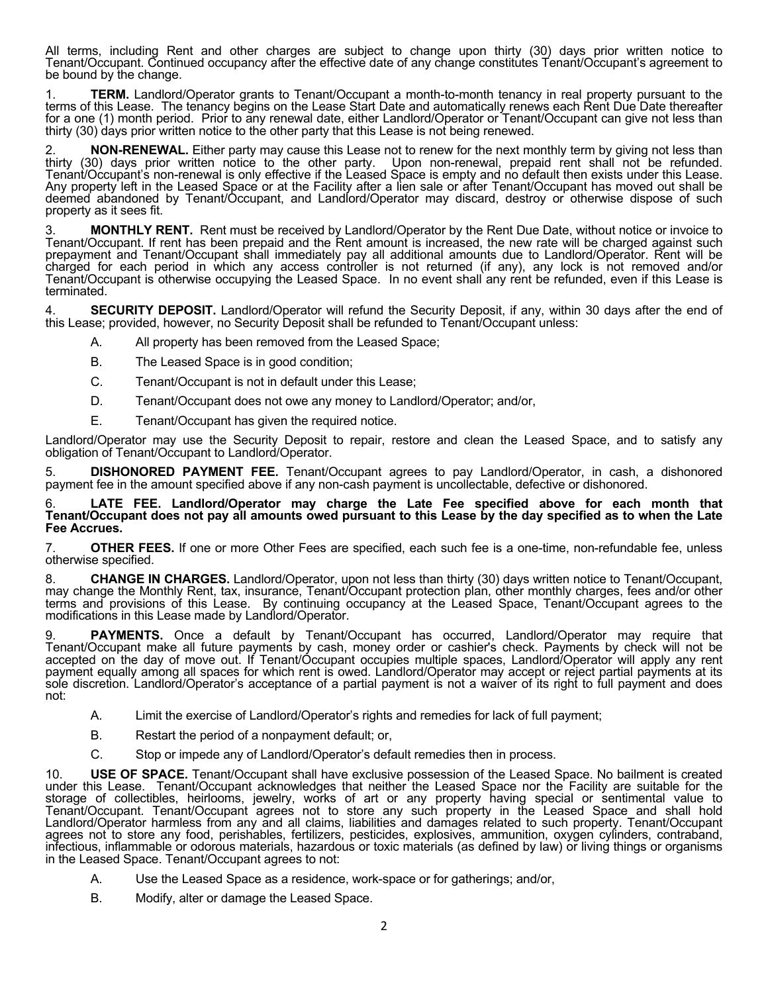All terms, including Rent and other charges are subject to change upon thirty (30) days prior written notice to Tenant/Occupant. Continued occupancy after the effective date of any change constitutes Tenant/Occupant's agreement to be bound by the change.

**TERM.** Landlord/Operator grants to Tenant/Occupant a month-to-month tenancy in real property pursuant to the terms of this Lease. The tenancy begins on the Lease Start Date and automatically renews each Rent Due Date thereafter for a one (1) month period. Prior to any renewal date, either Landlord/Operator or Tenant/Occupant can give not less than thirty (30) days prior written notice to the other party that this Lease is not being renewed.

**NON-RENEWAL.** Either party may cause this Lease not to renew for the next monthly term by giving not less than thirty (30) days prior written notice to the other party. Upon non-renewal, prepaid rent shall not be refunded. Tenant/Occupant's non-renewal is only effective if the Leased Space is empty and no default then exists under this Lease. Any property left in the Leased Space or at the Facility after a lien sale or after Tenant/Occupant has moved out shall be deemed abandoned by Tenant/Occupant, and Landlord/Operator may discard, destroy or otherwise dispose of such property as it sees fit.

3. **MONTHLY RENT.** Rent must be received by Landlord/Operator by the Rent Due Date, without notice or invoice to Tenant/Occupant. If rent has been prepaid and the Rent amount is increased, the new rate will be charged against such prepayment and Tenant/Occupant shall immediately pay all additional amounts due to Landlord/Operator. Rent will be charged for each period in which any access controller is not returned (if any), any lock is not removed and/or Tenant/Occupant is otherwise occupying the Leased Space. In no event shall any rent be refunded, even if this Lease is terminated.

**SECURITY DEPOSIT.** Landlord/Operator will refund the Security Deposit, if any, within 30 days after the end of this Lease; provided, however, no Security Deposit shall be refunded to Tenant/Occupant unless:

- A. All property has been removed from the Leased Space;
- B. The Leased Space is in good condition;
- C. Tenant/Occupant is not in default under this Lease;
- D. Tenant/Occupant does not owe any money to Landlord/Operator; and/or,
- E. Tenant/Occupant has given the required notice.

Landlord/Operator may use the Security Deposit to repair, restore and clean the Leased Space, and to satisfy any obligation of Tenant/Occupant to Landlord/Operator.

5. **DISHONORED PAYMENT FEE.** Tenant/Occupant agrees to pay Landlord/Operator, in cash, a dishonored payment fee in the amount specified above if any non-cash payment is uncollectable, defective or dishonored.

6. **LATE FEE. Landlord/Operator may charge the Late Fee specified above for each month that Tenant/Occupant does not pay all amounts owed pursuant to this Lease by the day specified as to when the Late Fee Accrues.**

7. **OTHER FEES.** If one or more Other Fees are specified, each such fee is a one-time, non-refundable fee, unless otherwise specified.

8. CHANGE IN CHARGES. Landlord/Operator, upon not less than thirty (30) days written notice to Tenant/Occupant, may change the Monthly Rent, tax, insurance, Tenant/Occupant protection plan, other monthly charges, fees and/ terms and provisions of this Lease. By continuing occupancy at the Leased Space, Tenant/Occupant agrees to the modifications in this Lease made by Landlord/Operator.

9. **PAYMENTS.** Once a default by Tenant/Occupant has occurred, Landlord/Operator may require that Tenant/Occupant make all future payments by cash, money order or cashier's check. Payments by check will not be accepted on the day of move out. If Tenant/Occupant occupies multiple spaces, Landlord/Operator will apply any rent payment equally among all spaces for which rent is owed. Landlord/Operator may accept or reject partial payments at its sole discretion. Landlord/Operator's acceptance of a partial payment is not a waiver of its right to full payment and does not:

- A. Limit the exercise of Landlord/Operator's rights and remedies for lack of full payment;
- B. Restart the period of a nonpayment default; or,
- C. Stop or impede any of Landlord/Operator's default remedies then in process.

10. **USE OF SPACE.** Tenant/Occupant shall have exclusive possession of the Leased Space. No bailment is created under this Lease. Tenant/Occupant acknowledges that neither the Leased Space nor the Facility are suitable for the storage of collectibles, heirlooms, jewelry, works of art or any property having special or sentimental value to Tenant/Occupant. Tenant/Occupant agrees not to store any such property in the Leased Space and shall hold Landlord/Operator harmless from any and all claims, liabilities and damages related to such property. Tenant/Occupant agrees not to store any food, perishables, fertilizers, pesticides, explosives, ammunition, oxygen cylinders, contraband, infectious, inflammable or odorous materials, hazardous or toxic materials (as defined by law) or living things or organisms in the Leased Space. Tenant/Occupant agrees to not:

- A. Use the Leased Space as a residence, work-space or for gatherings; and/or,
- B. Modify, alter or damage the Leased Space.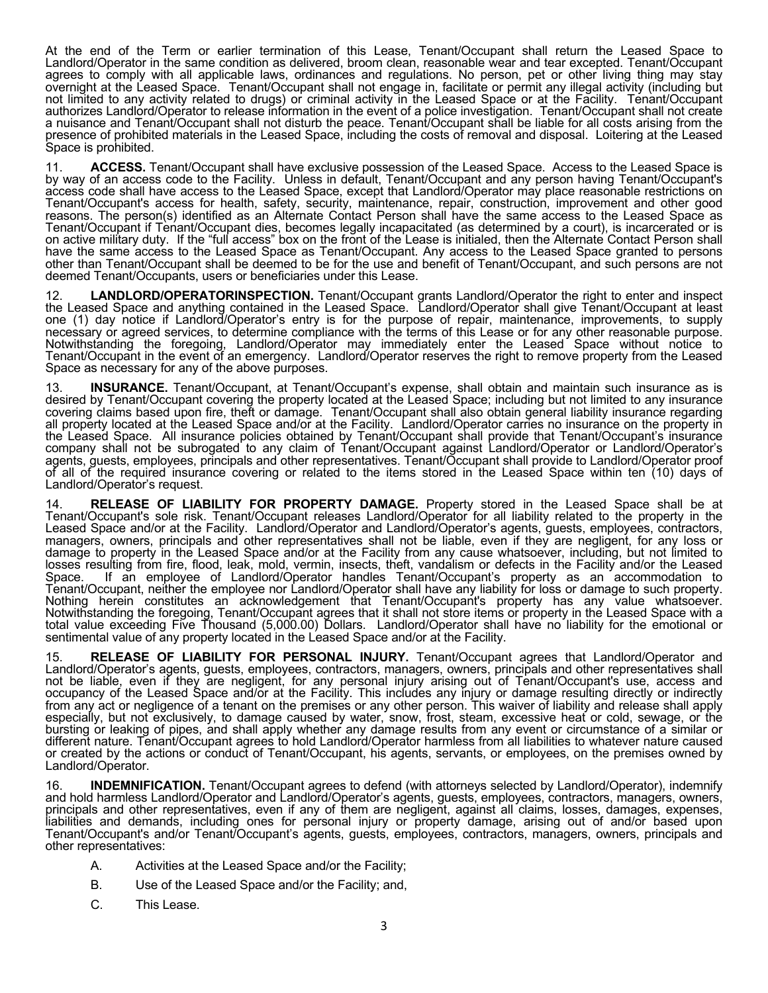At the end of the Term or earlier termination of this Lease, Tenant/Occupant shall return the Leased Space to Landlord/Operator in the same condition as delivered, broom clean, reasonable wear and tear excepted. Tenant/Occupant agrees to comply with all applicable laws, ordinances and regulations. No person, pet or other living thing may stay overnight at the Leased Space. Tenant/Occupant shall not engage in, facilitate or permit any illegal activity (including but not limited to any activity related to drugs) or criminal activity in the Leased Space or at the Facility. Tenant/Occupant authorizes Landlord/Operator to release information in the event of a police investigation. Tenant/Occupant shall not create a nuisance and Tenant/Occupant shall not disturb the peace. Tenant/Occupant shall be liable for all costs arising from the presence of prohibited materials in the Leased Space, including the costs of removal and disposal. Loitering at the Leased Space is prohibited.

11. **ACCESS.** Tenant/Occupant shall have exclusive possession of the Leased Space. Access to the Leased Space is by way of an access code to the Facility. Unless in default, Tenant/Occupant and any person having Tenant/Occupant's access code shall have access to the Leased Space, except that Landlord/Operator may place reasonable restrictions on Tenant/Occupant's access for health, safety, security, maintenance, repair, construction, improvement and other good reasons. The person(s) identified as an Alternate Contact Person shall have the same access to the Leased Space as Tenant/Occupant if Tenant/Occupant dies, becomes legally incapacitated (as determined by a court), is incarcerated or is on active military duty. If the "full access" box on the front of the Lease is initialed, then the Alternate Contact Person shall have the same access to the Leased Space as Tenant/Occupant. Any access to the Leased Space granted to persons other than Tenant/Occupant shall be deemed to be for the use and benefit of Tenant/Occupant, and such persons are not deemed Tenant/Occupants, users or beneficiaries under this Lease.

12. **LANDLORD/OPERATORINSPECTION.** Tenant/Occupant grants Landlord/Operator the right to enter and inspect the Leased Space and anything contained in the Leased Space. Landlord/Operator shall give Tenant/Occupant at least one (1) day notice if Landlord/Operator's entry is for the purpose of repair, maintenance, improvements, to supply necessary or agreed services, to determine compliance with the terms of this Lease or for any other reasonable purpose. Notwithstanding the foregoing, Landlord/Operator may immediately enter the Leased Space without notice to Tenant/Occupant in the event of an emergency. Landlord/Operator reserves the right to remove property from the Leased Space as necessary for any of the above purposes.

13. **INSURANCE.** Tenant/Occupant, at Tenant/Occupant's expense, shall obtain and maintain such insurance as is desired by Tenant/Occupant covering the property located at the Leased Space; including but not limited to any insurance covering claims based upon fire, theft or damage. Tenant/Occupant shall also obtain general liability insurance regarding all property located at the Leased Space and/or at the Facility. Landlord/Operator carries no insurance on the property in the Leased Space. All insurance policies obtained by Tenant/Occupant shall provide that Tenant/Occupant's insurance company shall not be subrogated to any claim of Tenant/Occupant against Landlord/Operator or Landlord/Operator's agents, guests, employees, principals and other representatives. Tenant/Occupant shall provide to Landlord/Operator proof of all of the required insurance covering or related to the items stored in the Leased Space within ten (10) days of Landlord/Operator's request.

14. **RELEASE OF LIABILITY FOR PROPERTY DAMAGE.** Property stored in the Leased Space shall be at Tenant/Occupant's sole risk. Tenant/Occupant releases Landlord/Operator for all liability related to the property in the Leased Space and/or at the Facility. Landlord/Operator and Landlord/Operator's agents, guests, employees, contractors, managers, owners, principals and other representatives shall not be liable, even if they are negligent, for any loss or damage to property in the Leased Space and/or at the Facility from any cause whatsoever, including, but not limited to losses resulting from fire, flood, leak, mold, vermin, insects, theft, vandalism or defects in the Facility and/or the Leased Space. If an employee of Landlord/Operator handles Tenant/Occupant's property as an accommodation to Tenant/Occupant, neither the employee nor Landlord/Operator shall have any liability for loss or damage to such property. Nothing herein constitutes an acknowledgement that Tenant/Occupant's property has any value whatsoever. Notwithstanding the foregoing, Tenant/Occupant agrees that it shall not store items or property in the Leased Space with a total value exceeding Five Thousand (5,000.00) Dollars. Landlord/Operator shall have no liability for the emotional or sentimental value of any property located in the Leased Space and/or at the Facility.

15. **RELEASE OF LIABILITY FOR PERSONAL INJURY.** Tenant/Occupant agrees that Landlord/Operator and Landlord/Operator's agents, guests, employees, contractors, managers, owners, principals and other representatives shall not be liable, even if they are negligent, for any personal injury arising out of Tenant/Occupant's use, access and occupancy of the Leased Space and/or at the Facility. This includes any injury or damage resulting directly or indirectly from any act or negligence of a tenant on the premises or any other person. This waiver of liability and release shall apply especially, but not exclusively, to damage caused by water, snow, frost, steam, excessive heat or cold, sewage, or the bursting or leaking of pipes, and shall apply whether any damage results from any event or circumstance of a similar or different nature. Tenant/Occupant agrees to hold Landlord/Operator harmless from all liabilities to whatever nature caused or created by the actions or conduct of Tenant/Occupant, his agents, servants, or employees, on the premises owned by Landlord/Operator.

16. **INDEMNIFICATION.** Tenant/Occupant agrees to defend (with attorneys selected by Landlord/Operator), indemnify and hold harmless Landlord/Operator and Landlord/Operator's agents, guests, employees, contractors, managers, owners, principals and other representatives, even if any of them are negligent, against all claims, losses, damages, expenses, liabilities and demands, including ones for personal injury or property damage, arising out of and/or based upon Tenant/Occupant's and/or Tenant/Occupant's agents, guests, employees, contractors, managers, owners, principals and other representatives:

- A. Activities at the Leased Space and/or the Facility;
- B. Use of the Leased Space and/or the Facility; and,
- C. This Lease.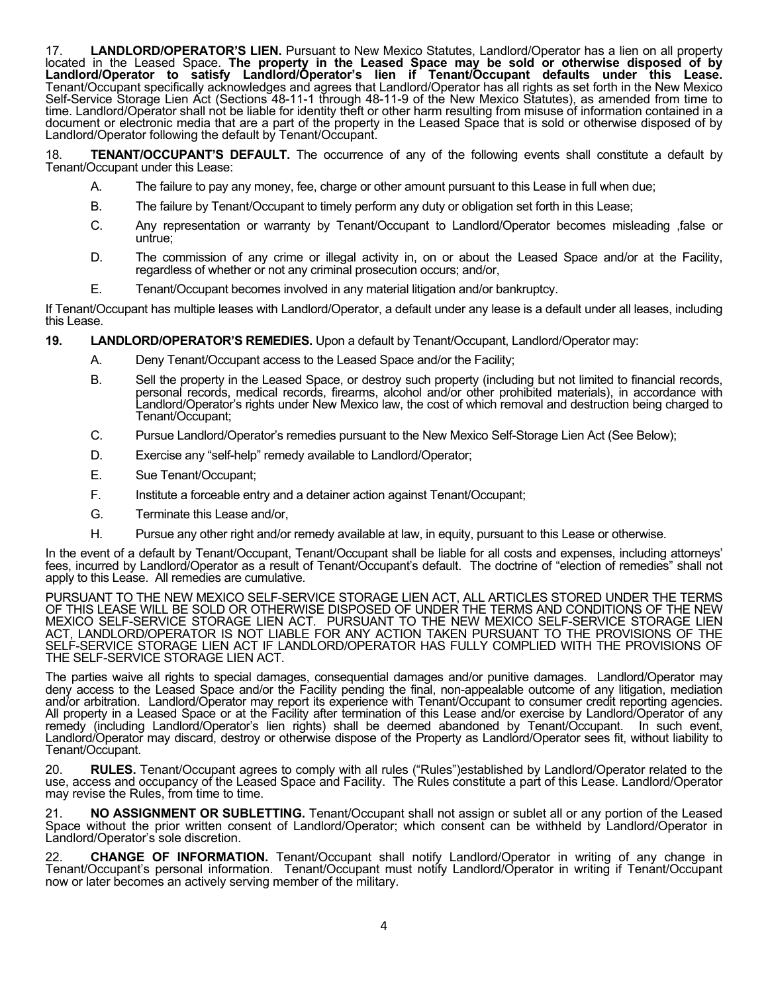17. **LANDLORD/OPERATOR'S LIEN.** Pursuant to New Mexico Statutes, Landlord/Operator has a lien on all property located in the Leased Space. **The property in the Leased Space may be sold or otherwise disposed of by**  Landlord/Operator to satisfy Landlord/Operator's lien if Tenant/Occupant defaults under this Lease.<br>Tenant/Occupant specifically acknowledges and agrees that Landlord/Operator has all rights as set forth in the New Mexico Self-Service Storage Lien Act (Sections 48-11-1 through 48-11-9 of the New Mexico Statutes), as amended from time to time. Landlord/Operator shall not be liable for identity theft or other harm resulting from misuse of information contained in a document or electronic media that are a part of the property in the Leased Space that is sold or otherwise disposed of by Landlord/Operator following the default by Tenant/Occupant.

18. **TENANT/OCCUPANT'S DEFAULT.** The occurrence of any of the following events shall constitute a default by Tenant/Occupant under this Lease:

- A. The failure to pay any money, fee, charge or other amount pursuant to this Lease in full when due;
- B. The failure by Tenant/Occupant to timely perform any duty or obligation set forth in this Lease;
- C. Any representation or warranty by Tenant/Occupant to Landlord/Operator becomes misleading ,false or untrue;
- D. The commission of any crime or illegal activity in, on or about the Leased Space and/or at the Facility, regardless of whether or not any criminal prosecution occurs; and/or,
- E. Tenant/Occupant becomes involved in any material litigation and/or bankruptcy.

If Tenant/Occupant has multiple leases with Landlord/Operator, a default under any lease is a default under all leases, including this Lease.

**19. LANDLORD/OPERATOR'S REMEDIES.** Upon a default by Tenant/Occupant, Landlord/Operator may:

- A. Deny Tenant/Occupant access to the Leased Space and/or the Facility;
- B. Sell the property in the Leased Space, or destroy such property (including but not limited to financial records, personal records, medical records, firearms, alcohol and/or other prohibited materials), in accordance with Landlord/Operator's rights under New Mexico law, the cost of which removal and destruction being charged to Tenant/Occupant;
- C. Pursue Landlord/Operator's remedies pursuant to the New Mexico Self-Storage Lien Act (See Below);
- D. Exercise any "self-help" remedy available to Landlord/Operator;
- E. Sue Tenant/Occupant;
- F. Institute a forceable entry and a detainer action against Tenant/Occupant;
- G. Terminate this Lease and/or,
- H. Pursue any other right and/or remedy available at law, in equity, pursuant to this Lease or otherwise.

In the event of a default by Tenant/Occupant, Tenant/Occupant shall be liable for all costs and expenses, including attorneys' fees, incurred by Landlord/Operator as a result of Tenant/Occupant's default. The doctrine of "election of remedies" shall not apply to this Lease. All remedies are cumulative.

PURSUANT TO THE NEW MEXICO SELF-SERVICE STORAGE LIEN ACT, ALL ARTICLES STORED UNDER THE TERMS OF THIS LEASE WILL BE SOLD OR OTHERWISE DISPOSED OF UNDER THE TERMS AND CONDITIONS OF THE NEW MEXICO SELF-SERVICE STORAGE LIEN ACT. PURSUANT TO THE NEW MEXICO SELF-SERVICE STORAGE LIEN ACT, LANDLORD/OPERATOR IS NOT LIABLE FOR ANY ACTION TAKEN PURSUANT TO THE PROVISIONS OF THE SELF-SERVICE STORAGE LIEN ACT IF LANDLORD/OPERATOR HAS FULLY COMPLIED WITH THE PROVISIONS OF THE SELF-SERVICE STORAGE LIEN ACT.

The parties waive all rights to special damages, consequential damages and/or punitive damages. Landlord/Operator may deny access to the Leased Space and/or the Facility pending the final, non-appealable outcome of any litigation, mediation and/or arbitration. Landlord/Operator may report its experience with Tenant/Occupant to consumer credit reporting agencies.<br>All property in a Leased Space or at the Facility after termination of this Lease and/or exercise remedy (including Landlord/Operator's lien rights) shall be deemed abandoned by Tenant/Occupant. In such event, Landlord/Operator may discard, destroy or otherwise dispose of the Property as Landlord/Operator sees fit, without liability to Tenant/Occupant.

20. **RULES.** Tenant/Occupant agrees to comply with all rules ("Rules")established by Landlord/Operator related to the use, access and occupancy of the Leased Space and Facility. The Rules constitute a part of this Lease. Landlord/Operator may revise the Rules, from time to time.

21. **NO ASSIGNMENT OR SUBLETTING.** Tenant/Occupant shall not assign or sublet all or any portion of the Leased Space without the prior written consent of Landlord/Operator; which consent can be withheld by Landlord/Operator in Landlord/Operator's sole discretion.

22. **CHANGE OF INFORMATION.** Tenant/Occupant shall notify Landlord/Operator in writing of any change in Tenant/Occupant's personal information. Tenant/Occupant must notify Landlord/Operator in writing if Tenant/Occupant now or later becomes an actively serving member of the military.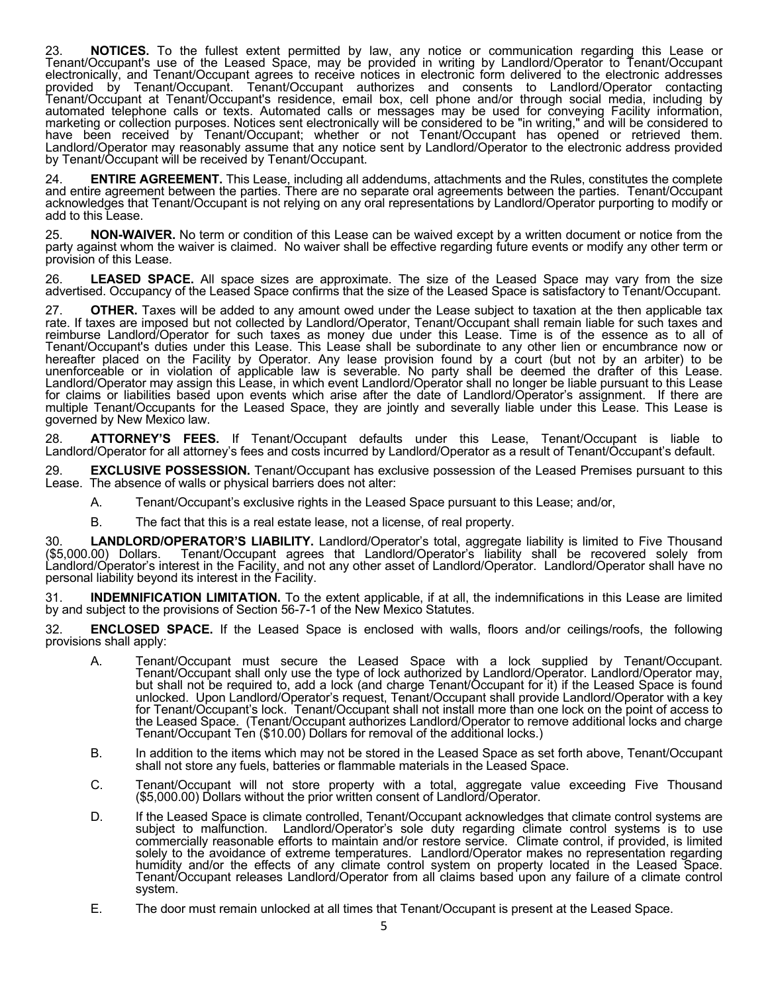23. **NOTICES.** To the fullest extent permitted by law, any notice or communication regarding this Lease or Tenant/Occupant's use of the Leased Space, may be provided in writing by Landlord/Operator to Tenant/Occupant electronically, and Tenant/Occupant agrees to receive notices in electronic form delivered to the electronic addresses provided by Tenant/Occupant. Tenant/Occupant authorizes and consents to Landlord/Operator contacting Tenant/Occupant at Tenant/Occupant's residence, email box, cell phone and/or through social media, including by automated telephone calls or texts. Automated calls or messages may be used for conveying Facility information, marketing or collection purposes. Notices sent electronically will be considered to be "in writing," and will be considered to have been received by Tenant/Occupant; whether or not Tenant/Occupant has opened or retrieved them. Landlord/Operator may reasonably assume that any notice sent by Landlord/Operator to the electronic address provided by Tenant/Occupant will be received by Tenant/Occupant.

24. **ENTIRE AGREEMENT.** This Lease, including all addendums, attachments and the Rules, constitutes the complete and entire agreement between the parties. There are no separate oral agreements between the parties. Tenant/Occupant acknowledges that Tenant/Occupant is not relying on any oral representations by Landlord/Operator purporting to modify or add to this Lease.

25. **NON-WAIVER.** No term or condition of this Lease can be waived except by a written document or notice from the party against whom the waiver is claimed. No waiver shall be effective regarding future events or modify any other term or provision of this Lease.

26. **LEASED SPACE.** All space sizes are approximate. The size of the Leased Space may vary from the size advertised. Occupancy of the Leased Space confirms that the size of the Leased Space is satisfactory to Tenant/Occupant.

27. **OTHER.** Taxes will be added to any amount owed under the Lease subject to taxation at the then applicable tax rate. If taxes are imposed but not collected by Landlord/Operator, Tenant/Occupant shall remain liable for such taxes and reimburse Landlord/Operator for such taxes as money due under this Lease. Time is of the essence as to all of Tenant/Occupant's duties under this Lease. This Lease shall be subordinate to any other lien or encumbrance now or hereafter placed on the Facility by Operator. Any lease provision found by a court (but not by an arbiter) to be unenforceable or in violation of applicable law is severable. No party shall be deemed the drafter of this Lease.<br>Landlord/Operator may assign this Lease, in which event Landlord/Operator shall no longer be liable pursuant for claims or liabilities based upon events which arise after the date of Landlord/Operator's assignment. If there are multiple Tenant/Occupants for the Leased Space, they are jointly and severally liable under this Lease. This Lease is governed by New Mexico law.

28. **ATTORNEY'S FEES.** If Tenant/Occupant defaults under this Lease, Tenant/Occupant is liable to Landlord/Operator for all attorney's fees and costs incurred by Landlord/Operator as a result of Tenant/Occupant's default.

29. **EXCLUSIVE POSSESSION.** Tenant/Occupant has exclusive possession of the Leased Premises pursuant to this Lease. The absence of walls or physical barriers does not alter:

- A. Tenant/Occupant's exclusive rights in the Leased Space pursuant to this Lease; and/or,
- B. The fact that this is a real estate lease, not a license, of real property.

30. LANDLORD/OPERATOR'S LIABILITY. Landlord/Operator's total, aggregate liability is limited to Five Thousand<br>(\$5,000.00) Dollars. Tenant/Occupant agrees that Landlord/Operator's liability shall be recovered solely from Landlord/Operator's interest in the Facility, and not any other asset of Landlord/Operator. Landlord/Operator shall have no personal liability beyond its interest in the Facility.

31. **INDEMNIFICATION LIMITATION.** To the extent applicable, if at all, the indemnifications in this Lease are limited by and subject to the provisions of Section 56-7-1 of the New Mexico Statutes.

32. **ENCLOSED SPACE.** If the Leased Space is enclosed with walls, floors and/or ceilings/roofs, the following provisions shall apply:

- A. Tenant/Occupant must secure the Leased Space with a lock supplied by Tenant/Occupant. Tenant/Occupant shall only use the type of lock authorized by Landlord/Operator. Landlord/Operator may, but shall not be required to, add a lock (and charge Tenant/Occupant for it) if the Leased Space is found unlocked. Upon Landlord/Operator's request, Tenant/Occupant shall provide Landlord/Operator with a key for Tenant/Occupant's lock. Tenant/Occupant shall not install more than one lock on the point of access to the Leased Space. (Tenant/Occupant authorizes Landlord/Operator to remove additional locks and charge Tenant/Occupant Ten (\$10.00) Dollars for removal of the additional locks.)
- B. In addition to the items which may not be stored in the Leased Space as set forth above, Tenant/Occupant shall not store any fuels, batteries or flammable materials in the Leased Space.
- C. Tenant/Occupant will not store property with a total, aggregate value exceeding Five Thousand (\$5,000.00) Dollars without the prior written consent of Landlord/Operator.
- D. If the Leased Space is climate controlled, Tenant/Occupant acknowledges that climate control systems are subject to malfunction. Landlord/Operator's sole duty regarding climate control systems is to use commercially reasonable efforts to maintain and/or restore service. Climate control, if provided, is limited solely to the avoidance of extreme temperatures. Landlord/Operator makes no representation regarding humidity and/or the effects of any climate control system on property located in the Leased Space. Tenant/Occupant releases Landlord/Operator from all claims based upon any failure of a climate control system.
- E. The door must remain unlocked at all times that Tenant/Occupant is present at the Leased Space.